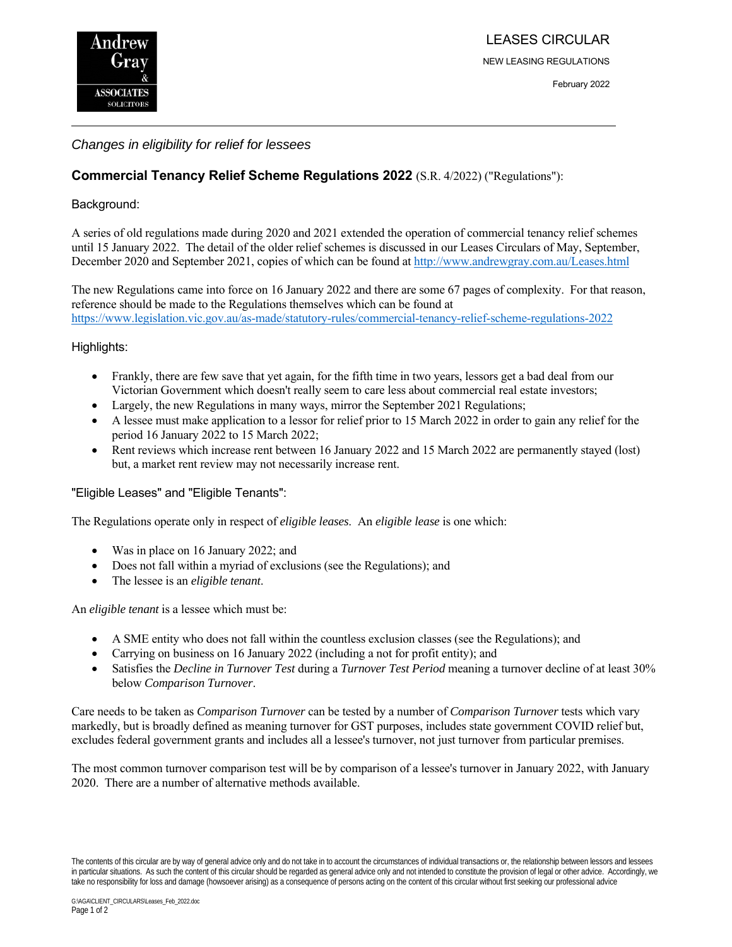

NEW LEASING REGULATIONS

#### February 2022

# *Changes in eligibility for relief for lessees*

# **Commercial Tenancy Relief Scheme Regulations 2022** (S.R. 4/2022) ("Regulations"):

# Background:

A series of old regulations made during 2020 and 2021 extended the operation of commercial tenancy relief schemes until 15 January 2022. The detail of the older relief schemes is discussed in our Leases Circulars of May, September, December 2020 and September 2021, copies of which can be found at http://www.andrewgray.com.au/Leases.html

The new Regulations came into force on 16 January 2022 and there are some 67 pages of complexity. For that reason, reference should be made to the Regulations themselves which can be found at https://www.legislation.vic.gov.au/as-made/statutory-rules/commercial-tenancy-relief-scheme-regulations-2022

# Highlights:

- Frankly, there are few save that yet again, for the fifth time in two years, lessors get a bad deal from our Victorian Government which doesn't really seem to care less about commercial real estate investors;
- Largely, the new Regulations in many ways, mirror the September 2021 Regulations;
- A lessee must make application to a lessor for relief prior to 15 March 2022 in order to gain any relief for the period 16 January 2022 to 15 March 2022;
- Rent reviews which increase rent between 16 January 2022 and 15 March 2022 are permanently stayed (lost) but, a market rent review may not necessarily increase rent.

# "Eligible Leases" and "Eligible Tenants":

The Regulations operate only in respect of *eligible leases*. An *eligible lease* is one which:

- Was in place on 16 January 2022; and
- Does not fall within a myriad of exclusions (see the Regulations); and
- The lessee is an *eligible tenant*.

An *eligible tenant* is a lessee which must be:

- A SME entity who does not fall within the countless exclusion classes (see the Regulations); and
- Carrying on business on 16 January 2022 (including a not for profit entity); and
- Satisfies the *Decline in Turnover Test* during a *Turnover Test Period* meaning a turnover decline of at least 30% below *Comparison Turnover*.

Care needs to be taken as *Comparison Turnover* can be tested by a number of *Comparison Turnover* tests which vary markedly, but is broadly defined as meaning turnover for GST purposes, includes state government COVID relief but, excludes federal government grants and includes all a lessee's turnover, not just turnover from particular premises.

The most common turnover comparison test will be by comparison of a lessee's turnover in January 2022, with January 2020. There are a number of alternative methods available.

The contents of this circular are by way of general advice only and do not take in to account the circumstances of individual transactions or, the relationship between lessors and lessees in particular situations. As such the content of this circular should be regarded as general advice only and not intended to constitute the provision of legal or other advice. Accordingly, we take no responsibility for loss and damage (howsoever arising) as a consequence of persons acting on the content of this circular without first seeking our professional advice